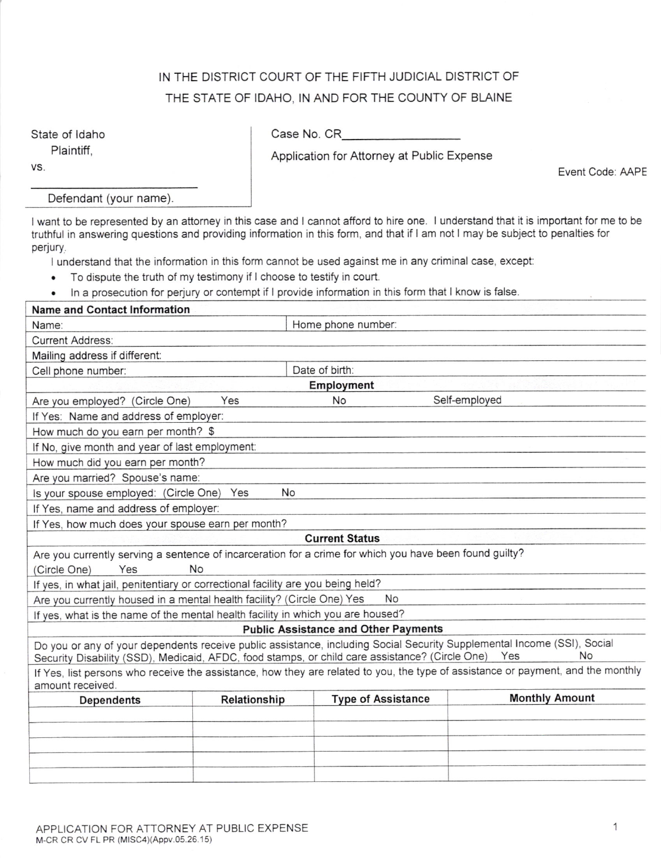## IN THE DISTRICT COURT OF THE FIFTH JUDICIAL DISTRICT OF THE STATE OF IDAHO, IN AND FOR THE COUNTY OF BLAINE

State of ldaho Plaintiff,

VS.

Case No. CR

Application for Attorney at Public Expense

Event Code: AAPE

Defendant (your name).

I want to be represented by an attorney in this case and I cannot afford to hire one. I understand that it is important for me to be truthful in answering questions and providing information in this form, and that if I am not I may be subject to penalties for perjury,

I understand that the information in this form cannot be used against me in any criminal case, except:

- . To dispute the truth of my testimony if I choose to testify in court.
- . ln a prosecution for perjury or contempt if I provide information in this form that I know is false.

| <b>Name and Contact Information</b>                                                                     |              |                                             |                                                                                                                                      |  |  |
|---------------------------------------------------------------------------------------------------------|--------------|---------------------------------------------|--------------------------------------------------------------------------------------------------------------------------------------|--|--|
| Name:                                                                                                   |              | Home phone number:                          |                                                                                                                                      |  |  |
| <b>Current Address:</b>                                                                                 |              |                                             |                                                                                                                                      |  |  |
| Mailing address if different:                                                                           |              |                                             |                                                                                                                                      |  |  |
| Cell phone number:                                                                                      |              | Date of birth:                              |                                                                                                                                      |  |  |
| Employment                                                                                              |              |                                             |                                                                                                                                      |  |  |
| Are you employed? (Circle One)                                                                          | Yes          | No                                          | Self-employed                                                                                                                        |  |  |
| If Yes: Name and address of employer:                                                                   |              |                                             |                                                                                                                                      |  |  |
| How much do you earn per month? \$                                                                      |              |                                             |                                                                                                                                      |  |  |
| If No, give month and year of last employment:                                                          |              |                                             |                                                                                                                                      |  |  |
| How much did you earn per month?                                                                        |              |                                             |                                                                                                                                      |  |  |
| Are you married? Spouse's name:                                                                         |              |                                             |                                                                                                                                      |  |  |
| Is your spouse employed: (Circle One) Yes                                                               | <b>No</b>    |                                             |                                                                                                                                      |  |  |
| If Yes, name and address of employer:                                                                   |              |                                             |                                                                                                                                      |  |  |
| If Yes, how much does your spouse earn per month?                                                       |              |                                             |                                                                                                                                      |  |  |
|                                                                                                         |              | <b>Current Status</b>                       |                                                                                                                                      |  |  |
| Are you currently serving a sentence of incarceration for a crime for which you have been found guilty? |              |                                             |                                                                                                                                      |  |  |
| (Circle One)<br>Yes                                                                                     | <b>No</b>    |                                             |                                                                                                                                      |  |  |
| If yes, in what jail, penitentiary or correctional facility are you being held?                         |              |                                             |                                                                                                                                      |  |  |
| Are you currently housed in a mental health facility? (Circle One) Yes                                  |              | <b>No</b>                                   |                                                                                                                                      |  |  |
| If yes, what is the name of the mental health facility in which you are housed?                         |              |                                             |                                                                                                                                      |  |  |
|                                                                                                         |              | <b>Public Assistance and Other Payments</b> |                                                                                                                                      |  |  |
| Security Disability (SSD), Medicaid, AFDC, food stamps, or child care assistance? (Circle One) Yes      |              |                                             | Do you or any of your dependents receive public assistance, including Social Security Supplemental Income (SSI), Social<br><b>No</b> |  |  |
| amount received.                                                                                        |              |                                             | If Yes, list persons who receive the assistance, how they are related to you, the type of assistance or payment, and the monthly     |  |  |
| Dependents                                                                                              | Relationship | <b>Type of Assistance</b>                   | <b>Monthly Amount</b>                                                                                                                |  |  |
|                                                                                                         |              |                                             |                                                                                                                                      |  |  |
|                                                                                                         |              |                                             |                                                                                                                                      |  |  |
|                                                                                                         |              |                                             |                                                                                                                                      |  |  |
|                                                                                                         |              |                                             |                                                                                                                                      |  |  |
|                                                                                                         |              |                                             |                                                                                                                                      |  |  |
|                                                                                                         |              |                                             |                                                                                                                                      |  |  |